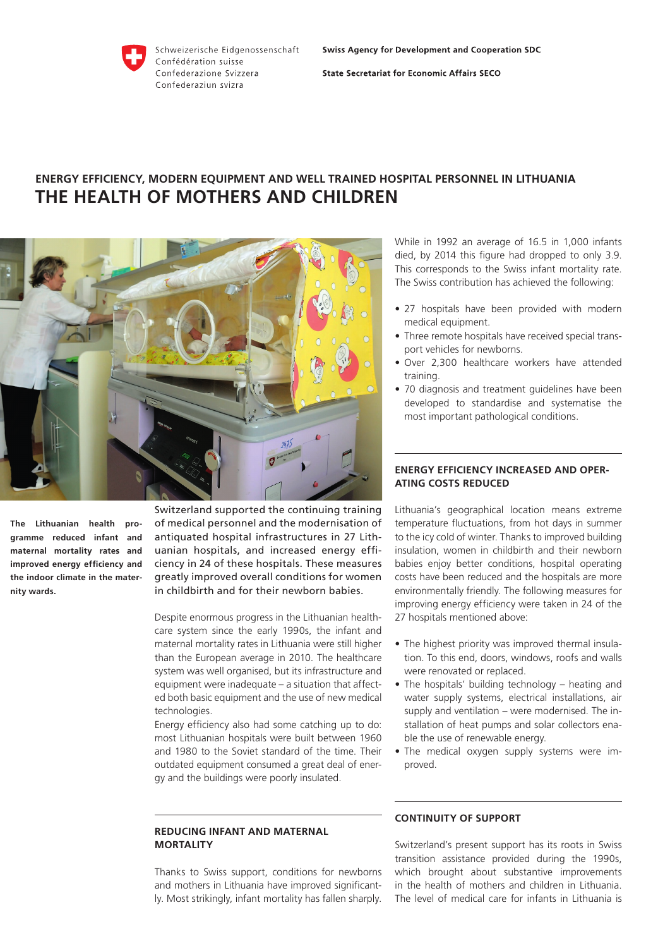

**State Secretariat for Economic Affairs SECO** 

# **ENERGY EFFICIENCY, MODERN EQUIPMENT AND WELL TRAINED HOSPITAL PERSONNEL IN LITHUANIA THE HEALTH OF MOTHERS AND CHILDREN**



**The Lithuanian health programme reduced infant and maternal mortality rates and improved energy efficiency and the indoor climate in the maternity wards.**

Switzerland supported the continuing training of medical personnel and the modernisation of antiquated hospital infrastructures in 27 Lithuanian hospitals, and increased energy efficiency in 24 of these hospitals. These measures greatly improved overall conditions for women in childbirth and for their newborn babies.

Despite enormous progress in the Lithuanian healthcare system since the early 1990s, the infant and maternal mortality rates in Lithuania were still higher than the European average in 2010. The healthcare system was well organised, but its infrastructure and equipment were inadequate – a situation that affected both basic equipment and the use of new medical technologies.

Energy efficiency also had some catching up to do: most Lithuanian hospitals were built between 1960 and 1980 to the Soviet standard of the time. Their outdated equipment consumed a great deal of energy and the buildings were poorly insulated.

### **REDUCING INFANT AND MATERNAL MORTALITY**

Thanks to Swiss support, conditions for newborns and mothers in Lithuania have improved significantly. Most strikingly, infant mortality has fallen sharply. While in 1992 an average of 16.5 in 1,000 infants died, by 2014 this figure had dropped to only 3.9. This corresponds to the Swiss infant mortality rate. The Swiss contribution has achieved the following:

- 27 hospitals have been provided with modern medical equipment.
- Three remote hospitals have received special transport vehicles for newborns.
- Over 2,300 healthcare workers have attended training.
- 70 diagnosis and treatment guidelines have been developed to standardise and systematise the most important pathological conditions.

## **ENERGY EFFICIENCY INCREASED AND OPER-ATING COSTS REDUCED**

Lithuania's geographical location means extreme temperature fluctuations, from hot days in summer to the icy cold of winter. Thanks to improved building insulation, women in childbirth and their newborn babies enjoy better conditions, hospital operating costs have been reduced and the hospitals are more environmentally friendly. The following measures for improving energy efficiency were taken in 24 of the 27 hospitals mentioned above:

- The highest priority was improved thermal insulation. To this end, doors, windows, roofs and walls were renovated or replaced.
- The hospitals' building technology heating and water supply systems, electrical installations, air supply and ventilation – were modernised. The installation of heat pumps and solar collectors enable the use of renewable energy.
- The medical oxygen supply systems were improved.

## **CONTINUITY OF SUPPORT**

Switzerland's present support has its roots in Swiss transition assistance provided during the 1990s, which brought about substantive improvements in the health of mothers and children in Lithuania. The level of medical care for infants in Lithuania is